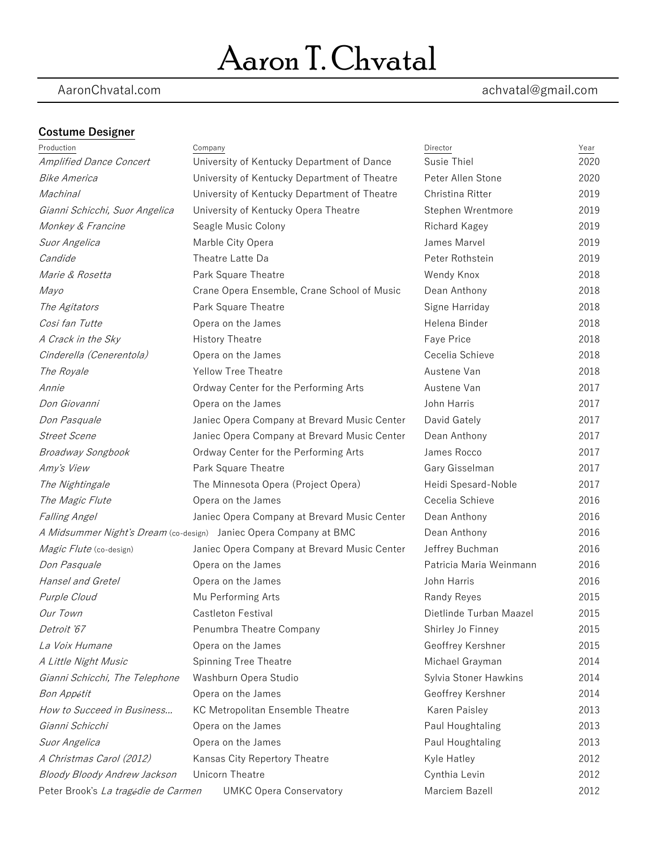# Aaron T. Chvatal

### AaronChvatal.com achvatal@gmail.com

### **Costume Designer**

| Production                                                            | Company                                                           | Director                | Year |
|-----------------------------------------------------------------------|-------------------------------------------------------------------|-------------------------|------|
| <b>Amplified Dance Concert</b>                                        | University of Kentucky Department of Dance                        | Susie Thiel             | 2020 |
| <i>Bike America</i>                                                   | University of Kentucky Department of Theatre                      | Peter Allen Stone       | 2020 |
| Machinal                                                              | University of Kentucky Department of Theatre                      | Christina Ritter        | 2019 |
| Gianni Schicchi, Suor Angelica                                        | University of Kentucky Opera Theatre                              | Stephen Wrentmore       | 2019 |
| Monkey & Francine                                                     | Seagle Music Colony                                               | Richard Kagey           | 2019 |
| Suor Angelica                                                         | Marble City Opera                                                 | James Marvel            | 2019 |
| Candide                                                               | Theatre Latte Da                                                  | Peter Rothstein         | 2019 |
| <i>Marie &amp; Rosetta</i>                                            | Park Square Theatre                                               | Wendy Knox              | 2018 |
| Mayo                                                                  | Crane Opera Ensemble, Crane School of Music                       | Dean Anthony            | 2018 |
| The Agitators                                                         | Park Square Theatre                                               | Signe Harriday          | 2018 |
| Cosi fan Tutte                                                        | Opera on the James                                                | Helena Binder           | 2018 |
| A Crack in the Sky                                                    | <b>History Theatre</b>                                            | Faye Price              | 2018 |
| Cinderella (Cenerentola)                                              | Opera on the James                                                | Cecelia Schieve         | 2018 |
| The Royale                                                            | <b>Yellow Tree Theatre</b>                                        | Austene Van             | 2018 |
| Annie                                                                 | Ordway Center for the Performing Arts                             | Austene Van             | 2017 |
| Don Giovanni                                                          | Opera on the James                                                | John Harris             | 2017 |
| Don Pasquale                                                          | Janiec Opera Company at Brevard Music Center                      | David Gately            | 2017 |
| <b>Street Scene</b>                                                   | Janiec Opera Company at Brevard Music Center                      | Dean Anthony            | 2017 |
| Broadway Songbook                                                     | Ordway Center for the Performing Arts                             | James Rocco             | 2017 |
| Amy's View                                                            | Park Square Theatre                                               | Gary Gisselman          | 2017 |
| The Nightingale                                                       | The Minnesota Opera (Project Opera)                               | Heidi Spesard-Noble     | 2017 |
| The Magic Flute                                                       | Opera on the James                                                | Cecelia Schieve         | 2016 |
| <b>Falling Angel</b>                                                  | Janiec Opera Company at Brevard Music Center                      | Dean Anthony            | 2016 |
|                                                                       | A Midsummer Night's Dream (co-design) Janiec Opera Company at BMC | Dean Anthony            | 2016 |
| Magic Flute (co-design)                                               | Janiec Opera Company at Brevard Music Center                      | Jeffrey Buchman         | 2016 |
| Don Pasquale                                                          | Opera on the James                                                | Patricia Maria Weinmann | 2016 |
| Hansel and Gretel                                                     | Opera on the James                                                | John Harris             | 2016 |
| Purple Cloud                                                          | Mu Performing Arts                                                | Randy Reyes             | 2015 |
| Our Town                                                              | Castleton Festival                                                | Dietlinde Turban Maazel | 2015 |
| Detroit '67                                                           | Penumbra Theatre Company                                          | Shirley Jo Finney       | 2015 |
| La Voix Humane                                                        | Opera on the James                                                | Geoffrey Kershner       | 2015 |
| A Little Night Music                                                  | Spinning Tree Theatre                                             | Michael Grayman         | 2014 |
| Gianni Schicchi, The Telephone                                        | Washburn Opera Studio                                             | Sylvia Stoner Hawkins   | 2014 |
| Bon Appétit                                                           | Opera on the James                                                | Geoffrey Kershner       | 2014 |
| How to Succeed in Business                                            | KC Metropolitan Ensemble Theatre                                  | Karen Paisley           | 2013 |
| Gianni Schicchi                                                       | Opera on the James                                                | Paul Houghtaling        | 2013 |
| Suor Angelica                                                         | Opera on the James                                                | Paul Houghtaling        | 2013 |
| A Christmas Carol (2012)                                              | Kansas City Repertory Theatre                                     | Kyle Hatley             | 2012 |
| Bloody Bloody Andrew Jackson                                          | Unicorn Theatre                                                   | Cynthia Levin           | 2012 |
| Peter Brook's La tragédie de Carmen<br><b>UMKC Opera Conservatory</b> |                                                                   | Marciem Bazell          | 2012 |
|                                                                       |                                                                   |                         |      |